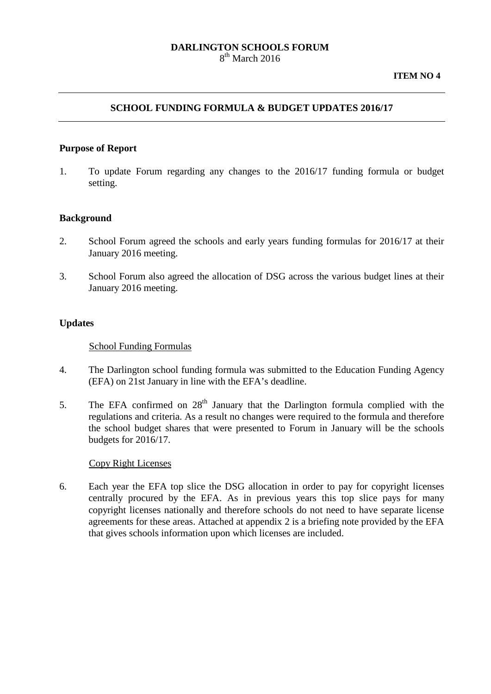## **DARLINGTON SCHOOLS FORUM** 8<sup>th</sup> March 2016

## **SCHOOL FUNDING FORMULA & BUDGET UPDATES 2016/17**

### **Purpose of Report**

1. To update Forum regarding any changes to the 2016/17 funding formula or budget setting.

## **Background**

- 2. School Forum agreed the schools and early years funding formulas for 2016/17 at their January 2016 meeting.
- 3. School Forum also agreed the allocation of DSG across the various budget lines at their January 2016 meeting.

### **Updates**

#### School Funding Formulas

- 4. The Darlington school funding formula was submitted to the Education Funding Agency (EFA) on 21st January in line with the EFA's deadline.
- 5. The EFA confirmed on  $28<sup>th</sup>$  January that the Darlington formula complied with the regulations and criteria. As a result no changes were required to the formula and therefore the school budget shares that were presented to Forum in January will be the schools budgets for 2016/17.

#### Copy Right Licenses

6. Each year the EFA top slice the DSG allocation in order to pay for copyright licenses centrally procured by the EFA. As in previous years this top slice pays for many copyright licenses nationally and therefore schools do not need to have separate license agreements for these areas. Attached at appendix 2 is a briefing note provided by the EFA that gives schools information upon which licenses are included.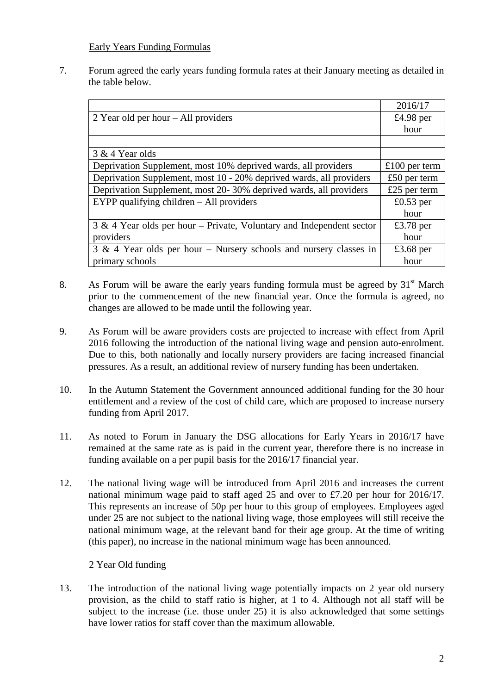## Early Years Funding Formulas

7. Forum agreed the early years funding formula rates at their January meeting as detailed in the table below.

|                                                                         | 2016/17       |
|-------------------------------------------------------------------------|---------------|
| 2 Year old per hour $-$ All providers                                   | $£4.98$ per   |
|                                                                         | hour          |
|                                                                         |               |
| 3 & 4 Year olds                                                         |               |
| Deprivation Supplement, most 10% deprived wards, all providers          | £100 per term |
| Deprivation Supplement, most 10 - 20% deprived wards, all providers     | £50 per term  |
| Deprivation Supplement, most 20-30% deprived wards, all providers       | £25 per term  |
| EYPP qualifying children - All providers                                | $£0.53$ per   |
|                                                                         | hour          |
| $3 \& 4$ Year olds per hour – Private, Voluntary and Independent sector | £3.78 per     |
| providers                                                               | hour          |
| $3 \& 4$ Year olds per hour – Nursery schools and nursery classes in    | £3.68 per     |
| primary schools                                                         | hour          |

- 8. As Forum will be aware the early years funding formula must be agreed by  $31<sup>st</sup>$  March prior to the commencement of the new financial year. Once the formula is agreed, no changes are allowed to be made until the following year.
- 9. As Forum will be aware providers costs are projected to increase with effect from April 2016 following the introduction of the national living wage and pension auto-enrolment. Due to this, both nationally and locally nursery providers are facing increased financial pressures. As a result, an additional review of nursery funding has been undertaken.
- 10. In the Autumn Statement the Government announced additional funding for the 30 hour entitlement and a review of the cost of child care, which are proposed to increase nursery funding from April 2017.
- 11. As noted to Forum in January the DSG allocations for Early Years in 2016/17 have remained at the same rate as is paid in the current year, therefore there is no increase in funding available on a per pupil basis for the 2016/17 financial year.
- 12. The national living wage will be introduced from April 2016 and increases the current national minimum wage paid to staff aged 25 and over to £7.20 per hour for 2016/17. This represents an increase of 50p per hour to this group of employees. Employees aged under 25 are not subject to the national living wage, those employees will still receive the national minimum wage, at the relevant band for their age group. At the time of writing (this paper), no increase in the national minimum wage has been announced.

2 Year Old funding

13. The introduction of the national living wage potentially impacts on 2 year old nursery provision, as the child to staff ratio is higher, at 1 to 4. Although not all staff will be subject to the increase (i.e. those under 25) it is also acknowledged that some settings have lower ratios for staff cover than the maximum allowable.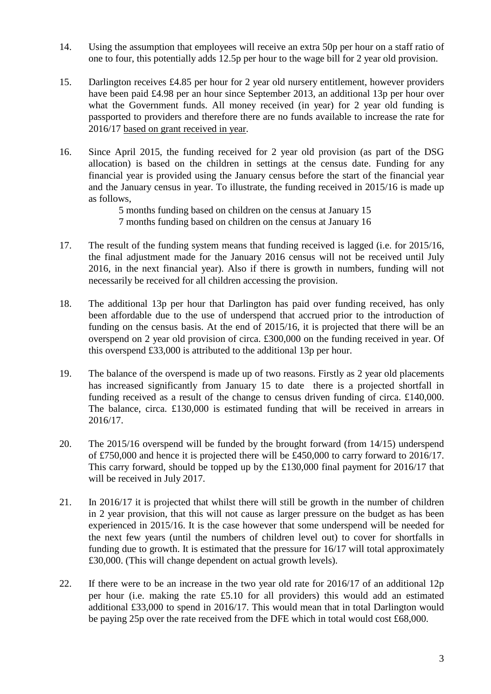- 14. Using the assumption that employees will receive an extra 50p per hour on a staff ratio of one to four, this potentially adds 12.5p per hour to the wage bill for 2 year old provision.
- 15. Darlington receives £4.85 per hour for 2 year old nursery entitlement, however providers have been paid £4.98 per an hour since September 2013, an additional 13p per hour over what the Government funds. All money received (in year) for 2 year old funding is passported to providers and therefore there are no funds available to increase the rate for 2016/17 based on grant received in year.
- 16. Since April 2015, the funding received for 2 year old provision (as part of the DSG allocation) is based on the children in settings at the census date. Funding for any financial year is provided using the January census before the start of the financial year and the January census in year. To illustrate, the funding received in 2015/16 is made up as follows,

5 months funding based on children on the census at January 15 7 months funding based on children on the census at January 16

- 17. The result of the funding system means that funding received is lagged (i.e. for 2015/16, the final adjustment made for the January 2016 census will not be received until July 2016, in the next financial year). Also if there is growth in numbers, funding will not necessarily be received for all children accessing the provision.
- 18. The additional 13p per hour that Darlington has paid over funding received, has only been affordable due to the use of underspend that accrued prior to the introduction of funding on the census basis. At the end of 2015/16, it is projected that there will be an overspend on 2 year old provision of circa. £300,000 on the funding received in year. Of this overspend £33,000 is attributed to the additional 13p per hour.
- 19. The balance of the overspend is made up of two reasons. Firstly as 2 year old placements has increased significantly from January 15 to date there is a projected shortfall in funding received as a result of the change to census driven funding of circa. £140,000. The balance, circa. £130,000 is estimated funding that will be received in arrears in 2016/17.
- 20. The 2015/16 overspend will be funded by the brought forward (from 14/15) underspend of £750,000 and hence it is projected there will be £450,000 to carry forward to 2016/17. This carry forward, should be topped up by the £130,000 final payment for 2016/17 that will be received in July 2017.
- 21. In 2016/17 it is projected that whilst there will still be growth in the number of children in 2 year provision, that this will not cause as larger pressure on the budget as has been experienced in 2015/16. It is the case however that some underspend will be needed for the next few years (until the numbers of children level out) to cover for shortfalls in funding due to growth. It is estimated that the pressure for 16/17 will total approximately £30,000. (This will change dependent on actual growth levels).
- 22. If there were to be an increase in the two year old rate for 2016/17 of an additional 12p per hour (i.e. making the rate £5.10 for all providers) this would add an estimated additional £33,000 to spend in 2016/17. This would mean that in total Darlington would be paying 25p over the rate received from the DFE which in total would cost £68,000.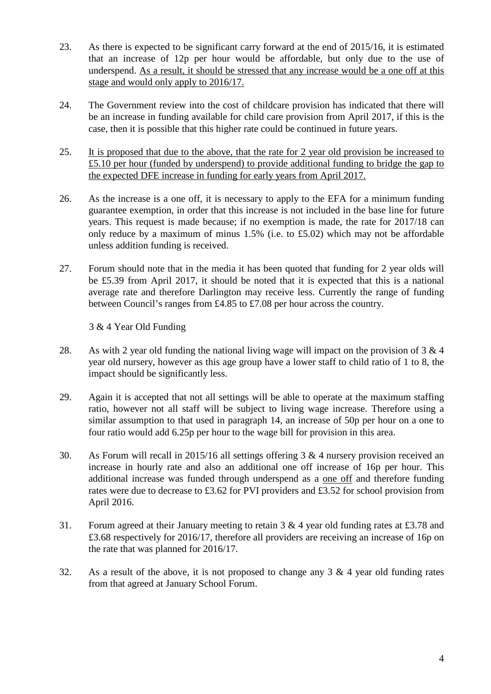- 23. As there is expected to be significant carry forward at the end of 2015/16, it is estimated that an increase of 12p per hour would be affordable, but only due to the use of underspend. As a result, it should be stressed that any increase would be a one off at this stage and would only apply to 2016/17.
- 24. The Government review into the cost of childcare provision has indicated that there will be an increase in funding available for child care provision from April 2017, if this is the case, then it is possible that this higher rate could be continued in future years.
- 25. It is proposed that due to the above, that the rate for 2 year old provision be increased to £5.10 per hour (funded by underspend) to provide additional funding to bridge the gap to the expected DFE increase in funding for early years from April 2017.
- 26. As the increase is a one off, it is necessary to apply to the EFA for a minimum funding guarantee exemption, in order that this increase is not included in the base line for future years. This request is made because; if no exemption is made, the rate for 2017/18 can only reduce by a maximum of minus 1.5% (i.e. to £5.02) which may not be affordable unless addition funding is received.
- 27. Forum should note that in the media it has been quoted that funding for 2 year olds will be £5.39 from April 2017, it should be noted that it is expected that this is a national average rate and therefore Darlington may receive less. Currently the range of funding between Council's ranges from £4.85 to £7.08 per hour across the country.

3 & 4 Year Old Funding

- 28. As with 2 year old funding the national living wage will impact on the provision of  $3 \& 4$ year old nursery, however as this age group have a lower staff to child ratio of 1 to 8, the impact should be significantly less.
- 29. Again it is accepted that not all settings will be able to operate at the maximum staffing ratio, however not all staff will be subject to living wage increase. Therefore using a similar assumption to that used in paragraph 14, an increase of 50p per hour on a one to four ratio would add 6.25p per hour to the wage bill for provision in this area.
- 30. As Forum will recall in 2015/16 all settings offering 3 & 4 nursery provision received an increase in hourly rate and also an additional one off increase of 16p per hour. This additional increase was funded through underspend as a one off and therefore funding rates were due to decrease to £3.62 for PVI providers and £3.52 for school provision from April 2016.
- 31. Forum agreed at their January meeting to retain 3 & 4 year old funding rates at £3.78 and £3.68 respectively for 2016/17, therefore all providers are receiving an increase of 16p on the rate that was planned for 2016/17.
- 32. As a result of the above, it is not proposed to change any 3 & 4 year old funding rates from that agreed at January School Forum.